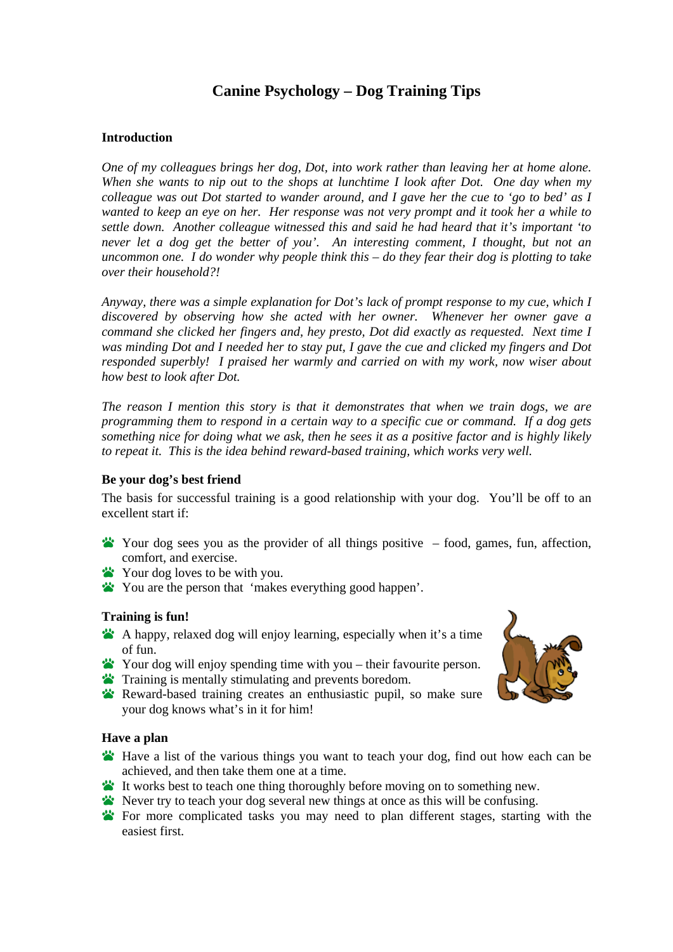# **Canine Psychology – Dog Training Tips**

## **Introduction**

*One of my colleagues brings her dog, Dot, into work rather than leaving her at home alone. When she wants to nip out to the shops at lunchtime I look after Dot. One day when my colleague was out Dot started to wander around, and I gave her the cue to 'go to bed' as I wanted to keep an eye on her. Her response was not very prompt and it took her a while to settle down. Another colleague witnessed this and said he had heard that it's important 'to never let a dog get the better of you'. An interesting comment, I thought, but not an uncommon one. I do wonder why people think this – do they fear their dog is plotting to take over their household?!* 

*Anyway, there was a simple explanation for Dot's lack of prompt response to my cue, which I discovered by observing how she acted with her owner. Whenever her owner gave a command she clicked her fingers and, hey presto, Dot did exactly as requested. Next time I was minding Dot and I needed her to stay put, I gave the cue and clicked my fingers and Dot responded superbly! I praised her warmly and carried on with my work, now wiser about how best to look after Dot.* 

*The reason I mention this story is that it demonstrates that when we train dogs, we are programming them to respond in a certain way to a specific cue or command. If a dog gets something nice for doing what we ask, then he sees it as a positive factor and is highly likely to repeat it. This is the idea behind reward-based training, which works very well.* 

## **Be your dog's best friend**

The basis for successful training is a good relationship with your dog. You'll be off to an excellent start if:

- Your dog sees you as the provider of all things positive  $-$  food, games, fun, affection, comfort, and exercise.
- Your dog loves to be with you.
- You are the person that 'makes everything good happen'.

## **Training is fun!**

- A happy, relaxed dog will enjoy learning, especially when it's a time of fun.
- Your dog will enjoy spending time with you their favourite person.
- Training is mentally stimulating and prevents boredom.
- Reward-based training creates an enthusiastic pupil, so make sure your dog knows what's in it for him!

## **Have a plan**

- Have a list of the various things you want to teach your dog, find out how each can be achieved, and then take them one at a time.
- It works best to teach one thing thoroughly before moving on to something new.
- Never try to teach your dog several new things at once as this will be confusing.
- For more complicated tasks you may need to plan different stages, starting with the easiest first.

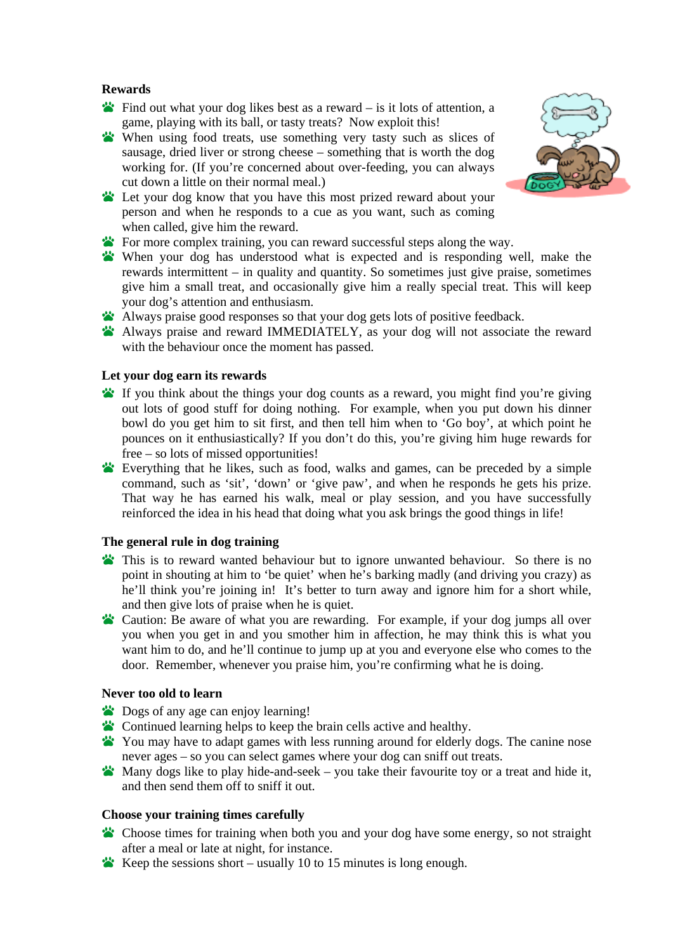## **Rewards**

- Find out wh at your dog likes best as a reward is it lots of attention, a game, playing with its ball, or tasty treats? Now exploit this!
- sausage, dried liver or strong cheese something that is worth the dog When using food treats, use something very tasty such as slices of working for. (If you're concerned about over-feeding, you can always cut down a little on their normal meal.)



- For more complex training, you can reward successful steps along the way.
- When your dog has understood what is expected and is responding well, make the rewards intermittent – in quality and quantity. So sometimes just give praise, sometimes give him a small treat, and occasionally give him a really special treat. This will keep your dog's attention and enthusiasm.
- Always praise good responses so that your dog gets lots of positive feedback.
- Always praise and reward IMMEDIATELY, as your dog will not associate the reward with the behaviour once the moment has passed.

## Let your dog earn its rewards

- If you think about the things your dog counts as a reward, you might find you're giving out lots of good stuff for doing nothing. For example, when you put down his dinner bowl do you get him to sit first, and then tell him when to 'Go boy', at which point he pounces on it enthusiastically? If you don't do this, you're giving him huge rewards for free – so lots of missed opportunities!
- Everything that he likes, such as food, walks and games, can be preceded by a simple command, such as 'sit', 'down' or 'give paw', and when he responds he gets his prize. That way he has earned his walk, meal or play session, and you have successfully reinforced the idea in his head that doing what you ask brings the good things in life!

#### **The general rule in dog training**

- This is to reward wanted behaviour but to ignore unwanted behaviour. So there is no point in shouting at him to 'be quiet' when he's barking madly (and driving you crazy) as he'll think you're joining in! It's better to turn away and ignore him for a short while, and then give lots of praise when he is quiet.
- Caution: Be aware of what you are rewarding. For example, if your dog jumps all over you when you get in and you smother him in affection, he may think this is what you want him to do, and he'll continue to jump up at you and everyone else who comes to the door. Remember, whenever you praise him, you're confirming what he is doing.

#### **Nev er too old to learn**

- Dogs of any age can enjoy learning!
- **Continued learning helps to keep the brain cells active and healthy.**
- You may have to adapt games with less running around fo r elderly dogs. The canine nose never ages – so you can select games where your dog can sniff out treats.
- **Many** dogs like to play hide-and-seek you take their favourite toy or a treat and hide it, and then send them off to sniff it out.

## **Choose your training times carefully**

- Choose times for training when both you and your dog have some energy, so not straight after a meal or late at night, for instance.
- Keep the sessions short usually 10 to 15 minutes is long enough.